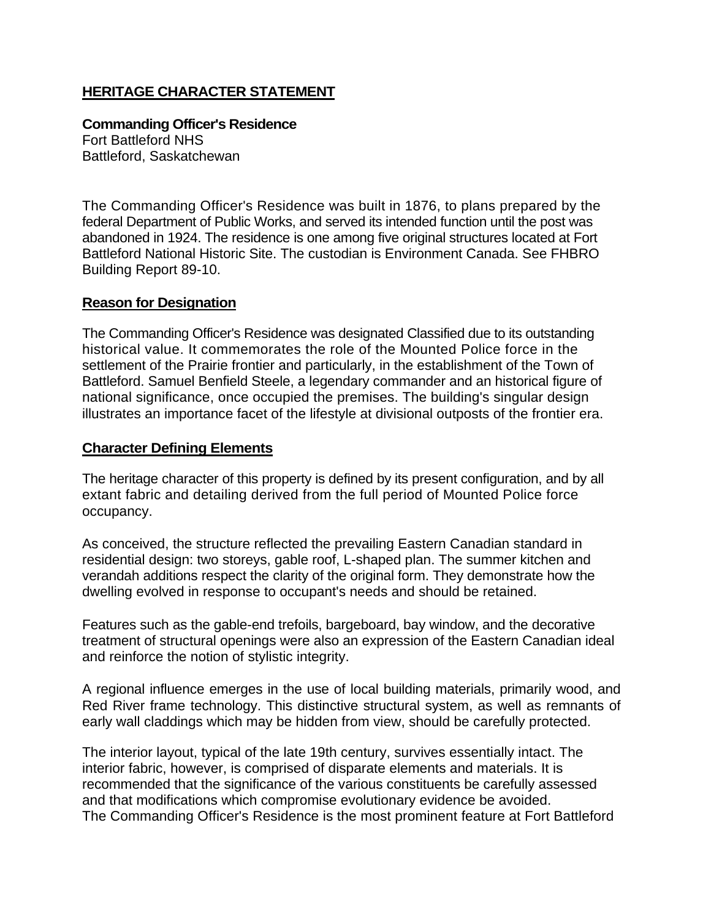## **HERITAGE CHARACTER STATEMENT**

**Commanding Officer's Residence**  Fort Battleford NHS Battleford, Saskatchewan

The Commanding Officer's Residence was built in 1876, to plans prepared by the federal Department of Public Works, and served its intended function until the post was abandoned in 1924. The residence is one among five original structures located at Fort Battleford National Historic Site. The custodian is Environment Canada. See FHBRO Building Report 89-10.

## **Reason for Designation**

The Commanding Officer's Residence was designated Classified due to its outstanding historical value. It commemorates the role of the Mounted Police force in the settlement of the Prairie frontier and particularly, in the establishment of the Town of Battleford. Samuel Benfield Steele, a legendary commander and an historical figure of national significance, once occupied the premises. The building's singular design illustrates an importance facet of the lifestyle at divisional outposts of the frontier era.

## **Character Defining Elements**

The heritage character of this property is defined by its present configuration, and by all extant fabric and detailing derived from the full period of Mounted Police force occupancy.

As conceived, the structure reflected the prevailing Eastern Canadian standard in residential design: two storeys, gable roof, L-shaped plan. The summer kitchen and verandah additions respect the clarity of the original form. They demonstrate how the dwelling evolved in response to occupant's needs and should be retained.

Features such as the gable-end trefoils, bargeboard, bay window, and the decorative treatment of structural openings were also an expression of the Eastern Canadian ideal and reinforce the notion of stylistic integrity.

A regional influence emerges in the use of local building materials, primarily wood, and Red River frame technology. This distinctive structural system, as well as remnants of early wall claddings which may be hidden from view, should be carefully protected.

The interior layout, typical of the late 19th century, survives essentially intact. The interior fabric, however, is comprised of disparate elements and materials. It is recommended that the significance of the various constituents be carefully assessed and that modifications which compromise evolutionary evidence be avoided. The Commanding Officer's Residence is the most prominent feature at Fort Battleford